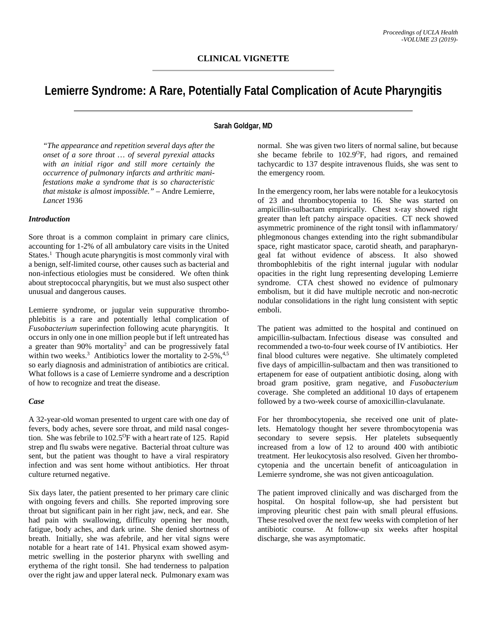# **Lemierre Syndrome: A Rare, Potentially Fatal Complication of Acute Pharyngitis**

# **Sarah Goldgar, MD**

*"The appearance and repetition several days after the onset of a sore throat … of several pyrexial attacks with an initial rigor and still more certainly the occurrence of pulmonary infarcts and arthritic manifestations make a syndrome that is so characteristic that mistake is almost impossible."* – Andre Lemierre, *Lancet* 1936

## *Introduction*

Sore throat is a common complaint in primary care clinics, accounting for 1-2% of all ambulatory care visits in the United States.<sup>1</sup> Though acute pharyngitis is most commonly viral with a benign, self-limited course, other causes such as bacterial and non-infectious etiologies must be considered. We often think about streptococcal pharyngitis, but we must also suspect other unusual and dangerous causes.

Lemierre syndrome, or jugular vein suppurative thrombophlebitis is a rare and potentially lethal complication of *Fusobacterium* superinfection following acute pharyngitis. It occurs in only one in one million people but if left untreated has a greater than 90% mortality2 and can be progressively fatal within two weeks.<sup>3</sup> Antibiotics lower the mortality to  $2-5\%$ ,  $4.5$ so early diagnosis and administration of antibiotics are critical. What follows is a case of Lemierre syndrome and a description of how to recognize and treat the disease.

#### *Case*

A 32-year-old woman presented to urgent care with one day of fevers, body aches, severe sore throat, and mild nasal congestion. She was febrile to 102.5<sup>o</sup>F with a heart rate of 125. Rapid strep and flu swabs were negative. Bacterial throat culture was sent, but the patient was thought to have a viral respiratory infection and was sent home without antibiotics. Her throat culture returned negative.

Six days later, the patient presented to her primary care clinic with ongoing fevers and chills. She reported improving sore throat but significant pain in her right jaw, neck, and ear. She had pain with swallowing, difficulty opening her mouth, fatigue, body aches, and dark urine. She denied shortness of breath. Initially, she was afebrile, and her vital signs were notable for a heart rate of 141. Physical exam showed asymmetric swelling in the posterior pharynx with swelling and erythema of the right tonsil. She had tenderness to palpation over the right jaw and upper lateral neck. Pulmonary exam was

normal. She was given two liters of normal saline, but because she became febrile to 102.9<sup>o</sup>F, had rigors, and remained tachycardic to 137 despite intravenous fluids, she was sent to the emergency room.

In the emergency room, her labs were notable for a leukocytosis of 23 and thrombocytopenia to 16. She was started on ampicillin-sulbactam empirically. Chest x-ray showed right greater than left patchy airspace opacities. CT neck showed asymmetric prominence of the right tonsil with inflammatory/ phlegmonous changes extending into the right submandibular space, right masticator space, carotid sheath, and parapharyngeal fat without evidence of abscess. It also showed thrombophlebitis of the right internal jugular with nodular opacities in the right lung representing developing Lemierre syndrome. CTA chest showed no evidence of pulmonary embolism, but it did have multiple necrotic and non-necrotic nodular consolidations in the right lung consistent with septic emboli.

The patient was admitted to the hospital and continued on ampicillin-sulbactam. Infectious disease was consulted and recommended a two-to-four week course of IV antibiotics. Her final blood cultures were negative. She ultimately completed five days of ampicillin-sulbactam and then was transitioned to ertapenem for ease of outpatient antibiotic dosing, along with broad gram positive, gram negative, and *Fusobacterium* coverage. She completed an additional 10 days of ertapenem followed by a two-week course of amoxicillin-clavulanate.

For her thrombocytopenia, she received one unit of platelets. Hematology thought her severe thrombocytopenia was secondary to severe sepsis. Her platelets subsequently increased from a low of 12 to around 400 with antibiotic treatment. Her leukocytosis also resolved. Given her thrombocytopenia and the uncertain benefit of anticoagulation in Lemierre syndrome, she was not given anticoagulation.

The patient improved clinically and was discharged from the hospital. On hospital follow-up, she had persistent but improving pleuritic chest pain with small pleural effusions. These resolved over the next few weeks with completion of her antibiotic course. At follow-up six weeks after hospital discharge, she was asymptomatic.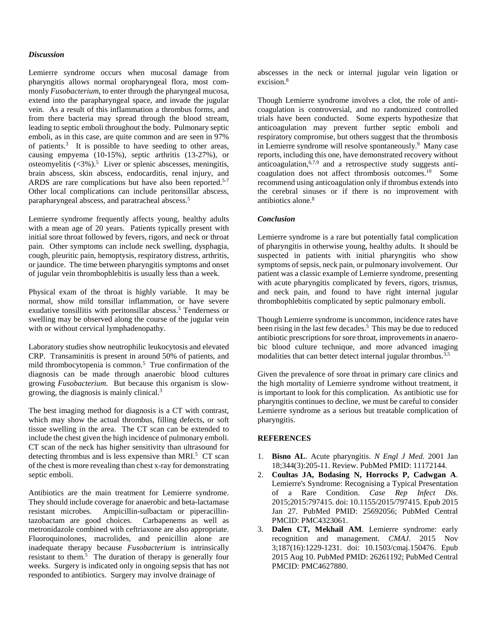### *Discussion*

Lemierre syndrome occurs when mucosal damage from pharyngitis allows normal oropharyngeal flora, most commonly *Fusobacterium*, to enter through the pharyngeal mucosa, extend into the parapharyngeal space, and invade the jugular vein. As a result of this inflammation a thrombus forms, and from there bacteria may spread through the blood stream, leading to septic emboli throughout the body. Pulmonary septic emboli, as in this case, are quite common and are seen in 97% of patients. 3 It is possible to have seeding to other areas, causing empyema (10-15%), septic arthritis (13-27%), or osteomyelitis (<3%). 5 Liver or splenic abscesses, meningitis, brain abscess, skin abscess, endocarditis, renal injury, and ARDS are rare complications but have also been reported.<sup>5-7</sup> Other local complications can include peritonsillar abscess, parapharyngeal abscess, and paratracheal abscess.<sup>5</sup>

Lemierre syndrome frequently affects young, healthy adults with a mean age of 20 years. Patients typically present with initial sore throat followed by fevers, rigors, and neck or throat pain. Other symptoms can include neck swelling, dysphagia, cough, pleuritic pain, hemoptysis, respiratory distress, arthritis, or jaundice. The time between pharyngitis symptoms and onset of jugular vein thrombophlebitis is usually less than a week.

Physical exam of the throat is highly variable. It may be normal, show mild tonsillar inflammation, or have severe exudative tonsillitis with peritonsillar abscess. <sup>5</sup> Tenderness or swelling may be observed along the course of the jugular vein with or without cervical lymphadenopathy.

Laboratory studies show neutrophilic leukocytosis and elevated CRP. Transaminitis is present in around 50% of patients, and mild thrombocytopenia is common.<sup>5</sup> True confirmation of the diagnosis can be made through anaerobic blood cultures growing *Fusobacterium*. But because this organism is slowgrowing, the diagnosis is mainly clinical.3

The best imaging method for diagnosis is a CT with contrast, which may show the actual thrombus, filling defects, or soft tissue swelling in the area. The CT scan can be extended to include the chest given the high incidence of pulmonary emboli. CT scan of the neck has higher sensitivity than ultrasound for detecting thrombus and is less expensive than MRI.<sup>5</sup> CT scan of the chest is more revealing than chest x-ray for demonstrating septic emboli.

Antibiotics are the main treatment for Lemierre syndrome. They should include coverage for anaerobic and beta-lactamase resistant microbes. Ampicillin-sulbactam or piperacillintazobactam are good choices. Carbapenems as well as metronidazole combined with ceftriaxone are also appropriate. Fluoroquinolones, macrolides, and penicillin alone are inadequate therapy because *Fusobacterium* is intrinsically resistant to them.<sup>5</sup> The duration of therapy is generally four weeks. Surgery is indicated only in ongoing sepsis that has not responded to antibiotics. Surgery may involve drainage of

abscesses in the neck or internal jugular vein ligation or excision.8

Though Lemierre syndrome involves a clot, the role of anticoagulation is controversial, and no randomized controlled trials have been conducted. Some experts hypothesize that anticoagulation may prevent further septic emboli and respiratory compromise, but others suggest that the thrombosis in Lemierre syndrome will resolve spontaneously. 9 Many case reports, including this one, have demonstrated recovery without anticoagulation,<sup>6,7,9</sup> and a retrospective study suggests anticoagulation does not affect thrombosis outcomes. 10 Some recommend using anticoagulation only if thrombus extends into the cerebral sinuses or if there is no improvement with antibiotics alone. 8

## *Conclusion*

Lemierre syndrome is a rare but potentially fatal complication of pharyngitis in otherwise young, healthy adults. It should be suspected in patients with initial pharyngitis who show symptoms of sepsis, neck pain, or pulmonary involvement. Our patient was a classic example of Lemierre syndrome, presenting with acute pharyngitis complicated by fevers, rigors, trismus, and neck pain, and found to have right internal jugular thrombophlebitis complicated by septic pulmonary emboli.

Though Lemierre syndrome is uncommon, incidence rates have been rising in the last few decades. 5 This may be due to reduced antibiotic prescriptions for sore throat, improvements in anaerobic blood culture technique, and more advanced imaging modalities that can better detect internal jugular thrombus.<sup>3,5</sup>

Given the prevalence of sore throat in primary care clinics and the high mortality of Lemierre syndrome without treatment, it is important to look for this complication. As antibiotic use for pharyngitis continues to decline, we must be careful to consider Lemierre syndrome as a serious but treatable complication of pharyngitis.

#### **REFERENCES**

- 1. **Bisno AL**. Acute pharyngitis. *N Engl J Med*. 2001 Jan 18;344(3):205-11. Review. PubMed PMID: 11172144.
- 2. **Coultas JA, Bodasing N, Horrocks P, Cadwgan A**. Lemierre's Syndrome: Recognising a Typical Presentation of a Rare Condition. *Case Rep Infect Dis*. 2015;2015:797415. doi: 10.1155/2015/797415. Epub 2015 Jan 27. PubMed PMID: 25692056; PubMed Central PMCID: PMC4323061.
- 3. **Dalen CT, Mekhail AM**. Lemierre syndrome: early recognition and management. *CMAJ*. 2015 Nov 3;187(16):1229-1231. doi: 10.1503/cmaj.150476. Epub 2015 Aug 10. PubMed PMID: 26261192; PubMed Central PMCID: PMC4627880.